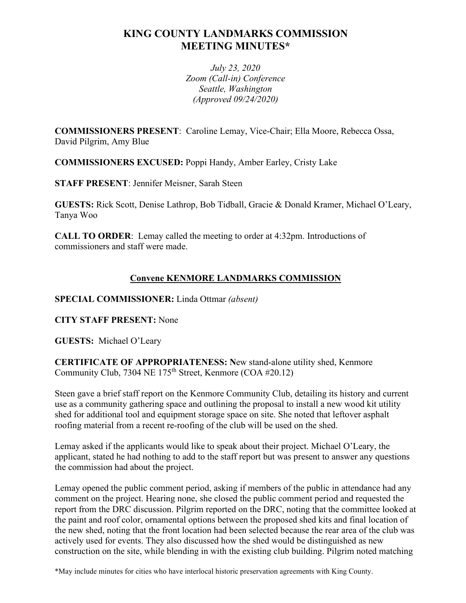# **KING COUNTY LANDMARKS COMMISSION MEETING MINUTES\***

*July 23, 2020 Zoom (Call-in) Conference Seattle, Washington (Approved 09/24/2020)*

**COMMISSIONERS PRESENT**: Caroline Lemay, Vice-Chair; Ella Moore, Rebecca Ossa, David Pilgrim, Amy Blue

**COMMISSIONERS EXCUSED:** Poppi Handy, Amber Earley, Cristy Lake

**STAFF PRESENT**: Jennifer Meisner, Sarah Steen

**GUESTS:** Rick Scott, Denise Lathrop, Bob Tidball, Gracie & Donald Kramer, Michael O'Leary, Tanya Woo

**CALL TO ORDER**: Lemay called the meeting to order at 4:32pm. Introductions of commissioners and staff were made.

## **Convene KENMORE LANDMARKS COMMISSION**

**SPECIAL COMMISSIONER:** Linda Ottmar *(absent)*

**CITY STAFF PRESENT:** None

**GUESTS:** Michael O'Leary

**CERTIFICATE OF APPROPRIATENESS: N**ew stand-alone utility shed, Kenmore Community Club, 7304 NE  $175<sup>th</sup>$  Street, Kenmore (COA #20.12)

Steen gave a brief staff report on the Kenmore Community Club, detailing its history and current use as a community gathering space and outlining the proposal to install a new wood kit utility shed for additional tool and equipment storage space on site. She noted that leftover asphalt roofing material from a recent re-roofing of the club will be used on the shed.

Lemay asked if the applicants would like to speak about their project. Michael O'Leary, the applicant, stated he had nothing to add to the staff report but was present to answer any questions the commission had about the project.

Lemay opened the public comment period, asking if members of the public in attendance had any comment on the project. Hearing none, she closed the public comment period and requested the report from the DRC discussion. Pilgrim reported on the DRC, noting that the committee looked at the paint and roof color, ornamental options between the proposed shed kits and final location of the new shed, noting that the front location had been selected because the rear area of the club was actively used for events. They also discussed how the shed would be distinguished as new construction on the site, while blending in with the existing club building. Pilgrim noted matching

\*May include minutes for cities who have interlocal historic preservation agreements with King County.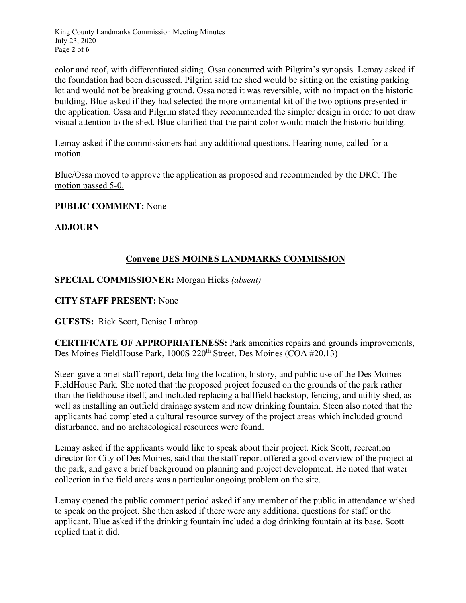King County Landmarks Commission Meeting Minutes July 23, 2020 Page **2** of **6**

color and roof, with differentiated siding. Ossa concurred with Pilgrim's synopsis. Lemay asked if the foundation had been discussed. Pilgrim said the shed would be sitting on the existing parking lot and would not be breaking ground. Ossa noted it was reversible, with no impact on the historic building. Blue asked if they had selected the more ornamental kit of the two options presented in the application. Ossa and Pilgrim stated they recommended the simpler design in order to not draw visual attention to the shed. Blue clarified that the paint color would match the historic building.

Lemay asked if the commissioners had any additional questions. Hearing none, called for a motion.

Blue/Ossa moved to approve the application as proposed and recommended by the DRC. The motion passed 5-0.

**PUBLIC COMMENT:** None

**ADJOURN**

## **Convene DES MOINES LANDMARKS COMMISSION**

**SPECIAL COMMISSIONER:** Morgan Hicks *(absent)*

**CITY STAFF PRESENT:** None

**GUESTS:** Rick Scott, Denise Lathrop

**CERTIFICATE OF APPROPRIATENESS:** Park amenities repairs and grounds improvements, Des Moines FieldHouse Park, 1000S 220<sup>th</sup> Street, Des Moines (COA #20.13)

Steen gave a brief staff report, detailing the location, history, and public use of the Des Moines FieldHouse Park. She noted that the proposed project focused on the grounds of the park rather than the fieldhouse itself, and included replacing a ballfield backstop, fencing, and utility shed, as well as installing an outfield drainage system and new drinking fountain. Steen also noted that the applicants had completed a cultural resource survey of the project areas which included ground disturbance, and no archaeological resources were found.

Lemay asked if the applicants would like to speak about their project. Rick Scott, recreation director for City of Des Moines, said that the staff report offered a good overview of the project at the park, and gave a brief background on planning and project development. He noted that water collection in the field areas was a particular ongoing problem on the site.

Lemay opened the public comment period asked if any member of the public in attendance wished to speak on the project. She then asked if there were any additional questions for staff or the applicant. Blue asked if the drinking fountain included a dog drinking fountain at its base. Scott replied that it did.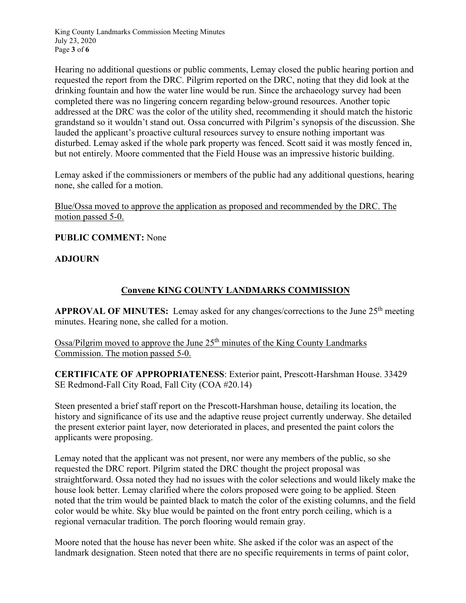King County Landmarks Commission Meeting Minutes July 23, 2020 Page **3** of **6**

Hearing no additional questions or public comments, Lemay closed the public hearing portion and requested the report from the DRC. Pilgrim reported on the DRC, noting that they did look at the drinking fountain and how the water line would be run. Since the archaeology survey had been completed there was no lingering concern regarding below-ground resources. Another topic addressed at the DRC was the color of the utility shed, recommending it should match the historic grandstand so it wouldn't stand out. Ossa concurred with Pilgrim's synopsis of the discussion. She lauded the applicant's proactive cultural resources survey to ensure nothing important was disturbed. Lemay asked if the whole park property was fenced. Scott said it was mostly fenced in, but not entirely. Moore commented that the Field House was an impressive historic building.

Lemay asked if the commissioners or members of the public had any additional questions, hearing none, she called for a motion.

Blue/Ossa moved to approve the application as proposed and recommended by the DRC. The motion passed 5-0.

**PUBLIC COMMENT:** None

### **ADJOURN**

# **Convene KING COUNTY LANDMARKS COMMISSION**

**APPROVAL OF MINUTES:** Lemay asked for any changes/corrections to the June 25<sup>th</sup> meeting minutes. Hearing none, she called for a motion.

Ossa/Pilgrim moved to approve the June 25th minutes of the King County Landmarks Commission. The motion passed 5-0.

**CERTIFICATE OF APPROPRIATENESS**: Exterior paint, Prescott-Harshman House. 33429 SE Redmond-Fall City Road, Fall City (COA #20.14)

Steen presented a brief staff report on the Prescott-Harshman house, detailing its location, the history and significance of its use and the adaptive reuse project currently underway. She detailed the present exterior paint layer, now deteriorated in places, and presented the paint colors the applicants were proposing.

Lemay noted that the applicant was not present, nor were any members of the public, so she requested the DRC report. Pilgrim stated the DRC thought the project proposal was straightforward. Ossa noted they had no issues with the color selections and would likely make the house look better. Lemay clarified where the colors proposed were going to be applied. Steen noted that the trim would be painted black to match the color of the existing columns, and the field color would be white. Sky blue would be painted on the front entry porch ceiling, which is a regional vernacular tradition. The porch flooring would remain gray.

Moore noted that the house has never been white. She asked if the color was an aspect of the landmark designation. Steen noted that there are no specific requirements in terms of paint color,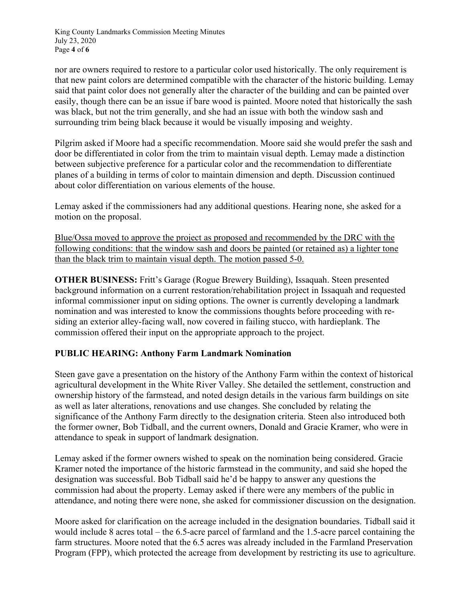King County Landmarks Commission Meeting Minutes July 23, 2020 Page **4** of **6**

nor are owners required to restore to a particular color used historically. The only requirement is that new paint colors are determined compatible with the character of the historic building. Lemay said that paint color does not generally alter the character of the building and can be painted over easily, though there can be an issue if bare wood is painted. Moore noted that historically the sash was black, but not the trim generally, and she had an issue with both the window sash and surrounding trim being black because it would be visually imposing and weighty.

Pilgrim asked if Moore had a specific recommendation. Moore said she would prefer the sash and door be differentiated in color from the trim to maintain visual depth. Lemay made a distinction between subjective preference for a particular color and the recommendation to differentiate planes of a building in terms of color to maintain dimension and depth. Discussion continued about color differentiation on various elements of the house.

Lemay asked if the commissioners had any additional questions. Hearing none, she asked for a motion on the proposal.

Blue/Ossa moved to approve the project as proposed and recommended by the DRC with the following conditions: that the window sash and doors be painted (or retained as) a lighter tone than the black trim to maintain visual depth. The motion passed 5-0.

**OTHER BUSINESS:** Fritt's Garage (Rogue Brewery Building), Issaquah. Steen presented background information on a current restoration/rehabilitation project in Issaquah and requested informal commissioner input on siding options. The owner is currently developing a landmark nomination and was interested to know the commissions thoughts before proceeding with residing an exterior alley-facing wall, now covered in failing stucco, with hardieplank. The commission offered their input on the appropriate approach to the project.

### **PUBLIC HEARING: Anthony Farm Landmark Nomination**

Steen gave gave a presentation on the history of the Anthony Farm within the context of historical agricultural development in the White River Valley. She detailed the settlement, construction and ownership history of the farmstead, and noted design details in the various farm buildings on site as well as later alterations, renovations and use changes. She concluded by relating the significance of the Anthony Farm directly to the designation criteria. Steen also introduced both the former owner, Bob Tidball, and the current owners, Donald and Gracie Kramer, who were in attendance to speak in support of landmark designation.

Lemay asked if the former owners wished to speak on the nomination being considered. Gracie Kramer noted the importance of the historic farmstead in the community, and said she hoped the designation was successful. Bob Tidball said he'd be happy to answer any questions the commission had about the property. Lemay asked if there were any members of the public in attendance, and noting there were none, she asked for commissioner discussion on the designation.

Moore asked for clarification on the acreage included in the designation boundaries. Tidball said it would include 8 acres total – the 6.5-acre parcel of farmland and the 1.5-acre parcel containing the farm structures. Moore noted that the 6.5 acres was already included in the Farmland Preservation Program (FPP), which protected the acreage from development by restricting its use to agriculture.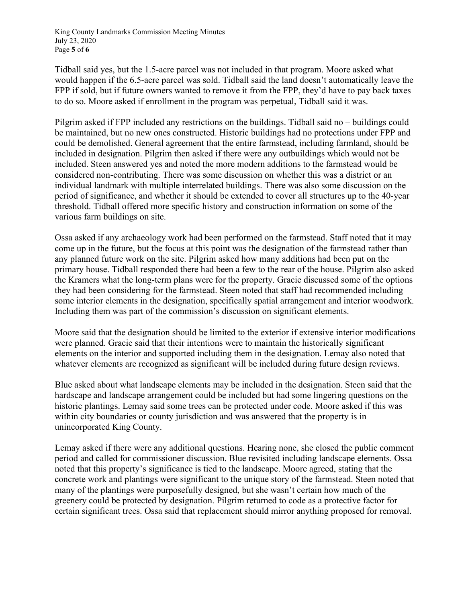King County Landmarks Commission Meeting Minutes July 23, 2020 Page **5** of **6**

Tidball said yes, but the 1.5-acre parcel was not included in that program. Moore asked what would happen if the 6.5-acre parcel was sold. Tidball said the land doesn't automatically leave the FPP if sold, but if future owners wanted to remove it from the FPP, they'd have to pay back taxes to do so. Moore asked if enrollment in the program was perpetual, Tidball said it was.

Pilgrim asked if FPP included any restrictions on the buildings. Tidball said no – buildings could be maintained, but no new ones constructed. Historic buildings had no protections under FPP and could be demolished. General agreement that the entire farmstead, including farmland, should be included in designation. Pilgrim then asked if there were any outbuildings which would not be included. Steen answered yes and noted the more modern additions to the farmstead would be considered non-contributing. There was some discussion on whether this was a district or an individual landmark with multiple interrelated buildings. There was also some discussion on the period of significance, and whether it should be extended to cover all structures up to the 40-year threshold. Tidball offered more specific history and construction information on some of the various farm buildings on site.

Ossa asked if any archaeology work had been performed on the farmstead. Staff noted that it may come up in the future, but the focus at this point was the designation of the farmstead rather than any planned future work on the site. Pilgrim asked how many additions had been put on the primary house. Tidball responded there had been a few to the rear of the house. Pilgrim also asked the Kramers what the long-term plans were for the property. Gracie discussed some of the options they had been considering for the farmstead. Steen noted that staff had recommended including some interior elements in the designation, specifically spatial arrangement and interior woodwork. Including them was part of the commission's discussion on significant elements.

Moore said that the designation should be limited to the exterior if extensive interior modifications were planned. Gracie said that their intentions were to maintain the historically significant elements on the interior and supported including them in the designation. Lemay also noted that whatever elements are recognized as significant will be included during future design reviews.

Blue asked about what landscape elements may be included in the designation. Steen said that the hardscape and landscape arrangement could be included but had some lingering questions on the historic plantings. Lemay said some trees can be protected under code. Moore asked if this was within city boundaries or county jurisdiction and was answered that the property is in unincorporated King County.

Lemay asked if there were any additional questions. Hearing none, she closed the public comment period and called for commissioner discussion. Blue revisited including landscape elements. Ossa noted that this property's significance is tied to the landscape. Moore agreed, stating that the concrete work and plantings were significant to the unique story of the farmstead. Steen noted that many of the plantings were purposefully designed, but she wasn't certain how much of the greenery could be protected by designation. Pilgrim returned to code as a protective factor for certain significant trees. Ossa said that replacement should mirror anything proposed for removal.